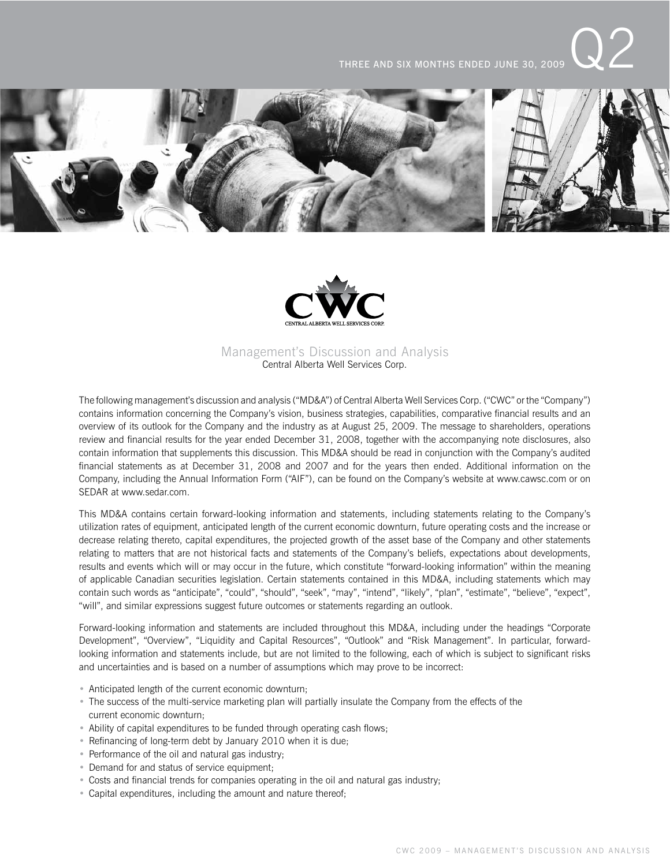THREE AND SIX MONTHS ENDED JUNE 30, 2009





# Management's Discussion and Analysis Central Alberta Well Services Corp.

The following management's discussion and analysis ("MD&A") of Central Alberta Well Services Corp. ("CWC" or the "Company") contains information concerning the Company's vision, business strategies, capabilities, comparative financial results and an overview of its outlook for the Company and the industry as at August 25, 2009. The message to shareholders, operations review and financial results for the year ended December 31, 2008, together with the accompanying note disclosures, also contain information that supplements this discussion. This MD&A should be read in conjunction with the Company's audited financial statements as at December 31, 2008 and 2007 and for the years then ended. Additional information on the Company, including the Annual Information Form ("AIF"), can be found on the Company's website at www.cawsc.com or on SEDAR at www.sedar.com.

This MD&A contains certain forward-looking information and statements, including statements relating to the Company's utilization rates of equipment, anticipated length of the current economic downturn, future operating costs and the increase or decrease relating thereto, capital expenditures, the projected growth of the asset base of the Company and other statements relating to matters that are not historical facts and statements of the Company's beliefs, expectations about developments, results and events which will or may occur in the future, which constitute "forward-looking information" within the meaning of applicable Canadian securities legislation. Certain statements contained in this MD&A, including statements which may contain such words as "anticipate", "could", "should", "seek", "may", "intend", "likely", "plan", "estimate", "believe", "expect", "will", and similar expressions suggest future outcomes or statements regarding an outlook.

Forward-looking information and statements are included throughout this MD&A, including under the headings "Corporate Development", "Overview", "Liquidity and Capital Resources", "Outlook" and "Risk Management". In particular, forwardlooking information and statements include, but are not limited to the following, each of which is subject to significant risks and uncertainties and is based on a number of assumptions which may prove to be incorrect:

- Anticipated length of the current economic downturn;
- The success of the multi-service marketing plan will partially insulate the Company from the effects of the current economic downturn;
- Ability of capital expenditures to be funded through operating cash flows;
- Refinancing of long-term debt by January 2010 when it is due;
- Performance of the oil and natural gas industry;
- Demand for and status of service equipment;
- Costs and financial trends for companies operating in the oil and natural gas industry;
- Capital expenditures, including the amount and nature thereof;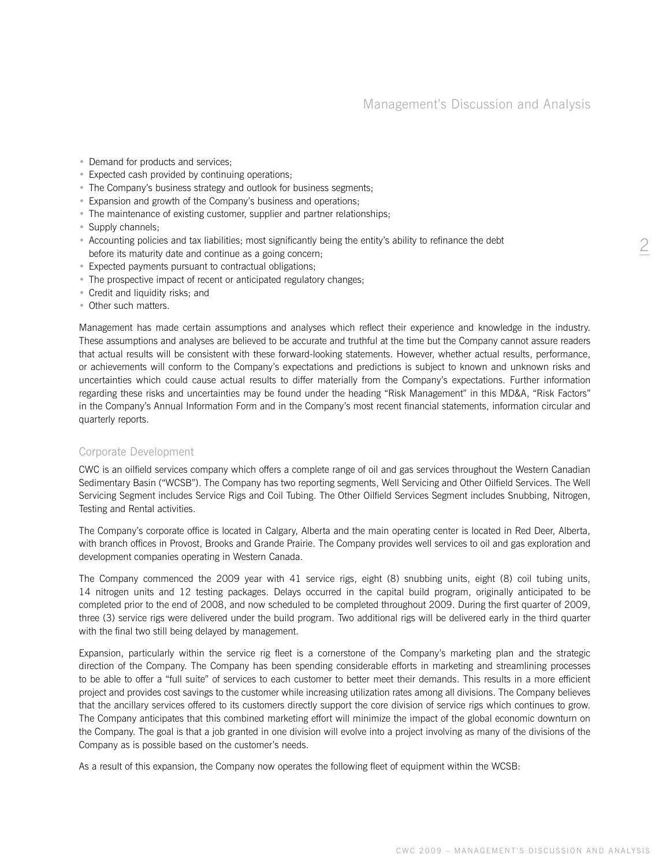- Demand for products and services;
- Expected cash provided by continuing operations;
- The Company's business strategy and outlook for business segments;
- Expansion and growth of the Company's business and operations;
- The maintenance of existing customer, supplier and partner relationships;
- Supply channels:
- Accounting policies and tax liabilities; most significantly being the entity's ability to refinance the debt before its maturity date and continue as a going concern;
- Expected payments pursuant to contractual obligations;
- The prospective impact of recent or anticipated regulatory changes;
- Credit and liquidity risks; and
- Other such matters.

Management has made certain assumptions and analyses which reflect their experience and knowledge in the industry. These assumptions and analyses are believed to be accurate and truthful at the time but the Company cannot assure readers that actual results will be consistent with these forward-looking statements. However, whether actual results, performance, or achievements will conform to the Company's expectations and predictions is subject to known and unknown risks and uncertainties which could cause actual results to differ materially from the Company's expectations. Further information regarding these risks and uncertainties may be found under the heading "Risk Management" in this MD&A, "Risk Factors" in the Company's Annual Information Form and in the Company's most recent financial statements, information circular and quarterly reports.

#### Corporate Development

CWC is an oilfield services company which offers a complete range of oil and gas services throughout the Western Canadian Sedimentary Basin ("WCSB"). The Company has two reporting segments, Well Servicing and Other Oilfield Services. The Well Servicing Segment includes Service Rigs and Coil Tubing. The Other Oilfield Services Segment includes Snubbing, Nitrogen, Testing and Rental activities.

The Company's corporate office is located in Calgary, Alberta and the main operating center is located in Red Deer, Alberta, with branch offices in Provost, Brooks and Grande Prairie. The Company provides well services to oil and gas exploration and development companies operating in Western Canada.

The Company commenced the 2009 year with 41 service rigs, eight (8) snubbing units, eight (8) coil tubing units, 14 nitrogen units and 12 testing packages. Delays occurred in the capital build program, originally anticipated to be completed prior to the end of 2008, and now scheduled to be completed throughout 2009. During the first quarter of 2009, three (3) service rigs were delivered under the build program. Two additional rigs will be delivered early in the third quarter with the final two still being delayed by management.

Expansion, particularly within the service rig fleet is a cornerstone of the Company's marketing plan and the strategic direction of the Company. The Company has been spending considerable efforts in marketing and streamlining processes to be able to offer a "full suite" of services to each customer to better meet their demands. This results in a more efficient project and provides cost savings to the customer while increasing utilization rates among all divisions. The Company believes that the ancillary services offered to its customers directly support the core division of service rigs which continues to grow. The Company anticipates that this combined marketing effort will minimize the impact of the global economic downturn on the Company. The goal is that a job granted in one division will evolve into a project involving as many of the divisions of the Company as is possible based on the customer's needs.

As a result of this expansion, the Company now operates the following fleet of equipment within the WCSB:

2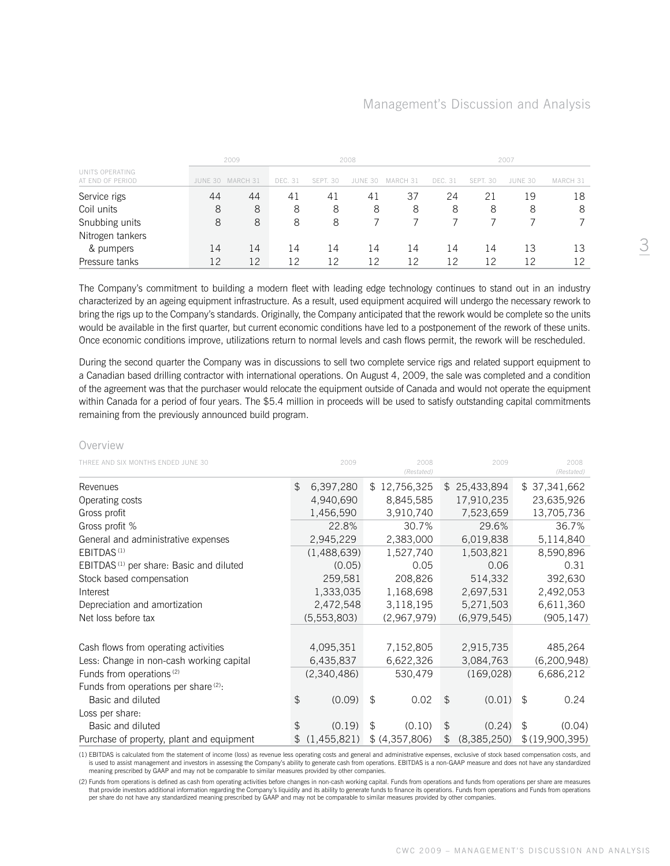|                                     |    | 2009             |                |          | 2008    |          |         |          | 2007    |          |
|-------------------------------------|----|------------------|----------------|----------|---------|----------|---------|----------|---------|----------|
| UNITS OPERATING<br>AT END OF PERIOD |    | JUNE 30 MARCH 31 | <b>DEC. 31</b> | SEPT. 30 | JUNE 30 | MARCH 31 | DEC. 31 | SEPT. 30 | JUNE 30 | MARCH 31 |
| Service rigs                        | 44 | 44               | 41             | 41       | 41      | 37       | 24      | 21       | 19      | 18       |
| Coil units                          | 8  | 8                | 8              | 8        | 8       | 8        | 8       | 8        | 8       | 8        |
| Snubbing units                      | 8  | 8                | 8              | 8        |         |          |         |          |         |          |
| Nitrogen tankers                    |    |                  |                |          |         |          |         |          |         |          |
| & pumpers                           | 14 | 14               | 14             | 14       | 14      | 4ء       | 14      | 14       | 13      | 13       |
| Pressure tanks                      | 12 | 12               | 12             | 12       | 12      | -2       | 12      | 12       | 12      |          |

The Company's commitment to building a modern fleet with leading edge technology continues to stand out in an industry characterized by an ageing equipment infrastructure. As a result, used equipment acquired will undergo the necessary rework to bring the rigs up to the Company's standards. Originally, the Company anticipated that the rework would be complete so the units would be available in the first quarter, but current economic conditions have led to a postponement of the rework of these units. Once economic conditions improve, utilizations return to normal levels and cash flows permit, the rework will be rescheduled.

During the second quarter the Company was in discussions to sell two complete service rigs and related support equipment to a Canadian based drilling contractor with international operations. On August 4, 2009, the sale was completed and a condition of the agreement was that the purchaser would relocate the equipment outside of Canada and would not operate the equipment within Canada for a period of four years. The \$5.4 million in proceeds will be used to satisfy outstanding capital commitments remaining from the previously announced build program.

#### Overview

| THREE AND SIX MONTHS ENDED JUNE 30                  |     | 2009        |                | 2008<br>(Restated) |                | 2009        | 2008<br>(Restated) |
|-----------------------------------------------------|-----|-------------|----------------|--------------------|----------------|-------------|--------------------|
| Revenues                                            | \$  | 6,397,280   |                | \$12,756,325       | $\mathfrak{L}$ | 25,433,894  | \$37,341,662       |
| Operating costs                                     |     | 4,940,690   |                | 8,845,585          |                | 17,910,235  | 23,635,926         |
| Gross profit                                        |     | 1,456,590   |                | 3,910,740          |                | 7,523,659   | 13,705,736         |
| Gross profit %                                      |     | 22.8%       |                | 30.7%              |                | 29.6%       | 36.7%              |
| General and administrative expenses                 |     | 2,945,229   |                | 2,383,000          |                | 6,019,838   | 5,114,840          |
| EBITDAS <sup>(1)</sup>                              |     | (1,488,639) |                | 1,527,740          |                | 1,503,821   | 8,590,896          |
| EBITDAS <sup>(1)</sup> per share: Basic and diluted |     | (0.05)      |                | 0.05               |                | 0.06        | 0.31               |
| Stock based compensation                            |     | 259,581     |                | 208,826            |                | 514,332     | 392,630            |
| Interest                                            |     | 1,333,035   |                | 1,168,698          |                | 2,697,531   | 2,492,053          |
| Depreciation and amortization                       |     | 2,472,548   |                | 3,118,195          |                | 5,271,503   | 6,611,360          |
| Net loss before tax                                 |     | (5,553,803) |                | (2,967,979)        |                | (6,979,545) | (905, 147)         |
|                                                     |     |             |                |                    |                |             |                    |
| Cash flows from operating activities                |     | 4,095,351   |                | 7,152,805          |                | 2,915,735   | 485,264            |
| Less: Change in non-cash working capital            |     | 6,435,837   |                | 6,622,326          |                | 3,084,763   | (6,200,948)        |
| Funds from operations <sup>(2)</sup>                |     | (2,340,486) |                | 530,479            |                | (169, 028)  | 6,686,212          |
| Funds from operations per share (2):                |     |             |                |                    |                |             |                    |
| Basic and diluted                                   | \$  | (0.09)      | \$             | 0.02               | \$             | (0.01)      | \$<br>0.24         |
| Loss per share:                                     |     |             |                |                    |                |             |                    |
| Basic and diluted                                   | \$. | (0.19)      | $\mathfrak{L}$ | (0.10)             | $\mathfrak{L}$ | (0.24)      | \$<br>(0.04)       |
| Purchase of property, plant and equipment           |     | (1,455,821) |                | \$ (4,357,806)     | \$             | (8,385,250) | \$(19,900,395)     |

(1) EBITDAS is calculated from the statement of income (loss) as revenue less operating costs and general and administrative expenses, exclusive of stock based compensation costs, and is used to assist management and investors in assessing the Company's ability to generate cash from operations. EBITDAS is a non-GAAP measure and does not have any standardized meaning prescribed by GAAP and may not be comparable to similar measures provided by other companies.

(2) Funds from operations is defined as cash from operating activities before changes in non-cash working capital. Funds from operations and funds from operations per share are measures that provide investors additional information regarding the Company's liquidity and its ability to generate funds to finance its operations. Funds from operations and Funds from operations per share do not have any standardized meaning prescribed by GAAP and may not be comparable to similar measures provided by other companies.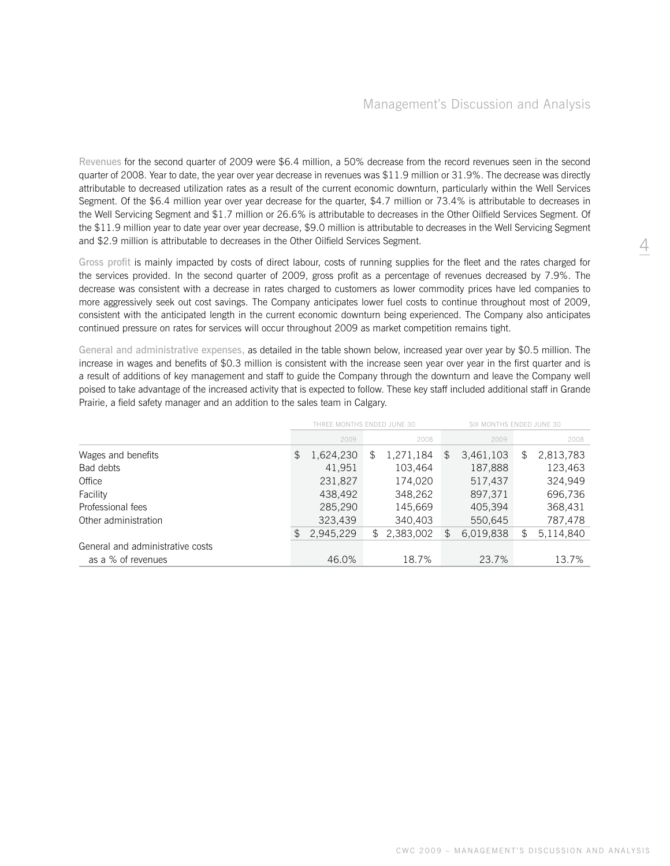Revenues for the second quarter of 2009 were \$6.4 million, a 50% decrease from the record revenues seen in the second quarter of 2008. Year to date, the year over year decrease in revenues was \$11.9 million or 31.9%. The decrease was directly attributable to decreased utilization rates as a result of the current economic downturn, particularly within the Well Services Segment. Of the \$6.4 million year over year decrease for the quarter, \$4.7 million or 73.4% is attributable to decreases in the Well Servicing Segment and \$1.7 million or 26.6% is attributable to decreases in the Other Oilfield Services Segment. Of the \$11.9 million year to date year over year decrease, \$9.0 million is attributable to decreases in the Well Servicing Segment and \$2.9 million is attributable to decreases in the Other Oilfield Services Segment.

Gross profit is mainly impacted by costs of direct labour, costs of running supplies for the fleet and the rates charged for the services provided. In the second quarter of 2009, gross profit as a percentage of revenues decreased by 7.9%. The decrease was consistent with a decrease in rates charged to customers as lower commodity prices have led companies to more aggressively seek out cost savings. The Company anticipates lower fuel costs to continue throughout most of 2009, consistent with the anticipated length in the current economic downturn being experienced. The Company also anticipates continued pressure on rates for services will occur throughout 2009 as market competition remains tight.

General and administrative expenses, as detailed in the table shown below, increased year over year by \$0.5 million. The increase in wages and benefits of \$0.3 million is consistent with the increase seen year over year in the first quarter and is a result of additions of key management and staff to guide the Company through the downturn and leave the Company well poised to take advantage of the increased activity that is expected to follow. These key staff included additional staff in Grande Prairie, a field safety manager and an addition to the sales team in Calgary.

|                                  |                 | SIX MONTHS ENDED JUNE 30<br>THREE MONTHS ENDED JUNE 30 |                            |                  |  |  |  |
|----------------------------------|-----------------|--------------------------------------------------------|----------------------------|------------------|--|--|--|
|                                  | 2009            | 2008                                                   | 2009                       | 2008             |  |  |  |
| Wages and benefits               | 1,624,230<br>\$ | 1,271,184<br>\$                                        | 3,461,103<br>$\mathcal{F}$ | 2,813,783<br>\$. |  |  |  |
| Bad debts                        | 41,951          | 103.464                                                | 187,888                    | 123,463          |  |  |  |
| Office                           | 231,827         | 174.020                                                | 517,437                    | 324.949          |  |  |  |
| Facility                         | 438,492         | 348.262                                                | 897,371                    | 696,736          |  |  |  |
| Professional fees                | 285,290         | 145,669                                                | 405,394                    | 368,431          |  |  |  |
| Other administration             | 323,439         | 340,403                                                | 550,645                    | 787,478          |  |  |  |
|                                  | 2,945,229<br>\$ | 2,383,002<br>$\mathbb{S}^-$                            | 6,019,838<br>\$            | 5,114,840<br>\$  |  |  |  |
| General and administrative costs |                 |                                                        |                            |                  |  |  |  |
| as a % of revenues               | 46.0%           | 18.7%                                                  | 23.7%                      | 13.7%            |  |  |  |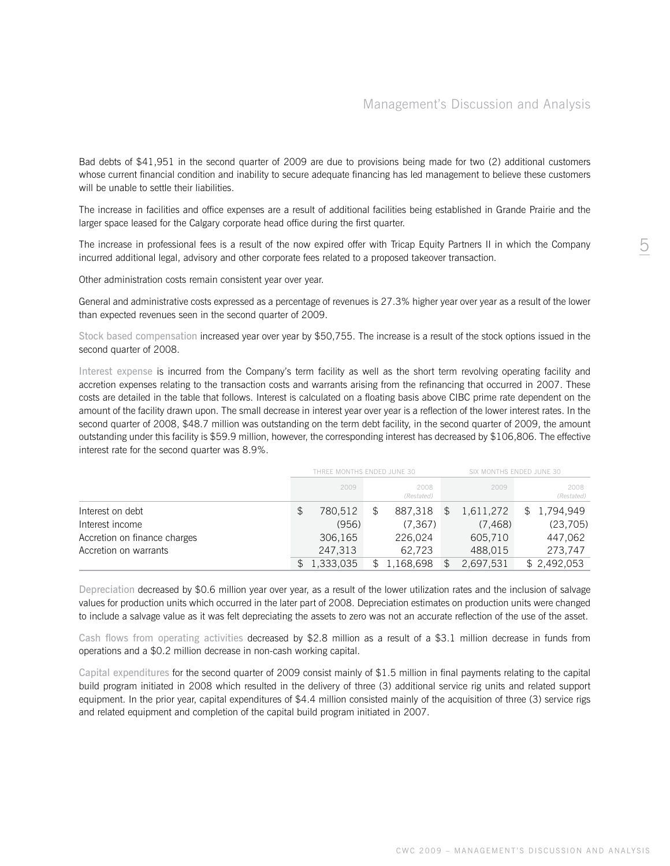Bad debts of \$41,951 in the second quarter of 2009 are due to provisions being made for two (2) additional customers whose current financial condition and inability to secure adequate financing has led management to believe these customers will be unable to settle their liabilities.

The increase in facilities and office expenses are a result of additional facilities being established in Grande Prairie and the larger space leased for the Calgary corporate head office during the first quarter.

The increase in professional fees is a result of the now expired offer with Tricap Equity Partners II in which the Company incurred additional legal, advisory and other corporate fees related to a proposed takeover transaction.

Other administration costs remain consistent year over year.

General and administrative costs expressed as a percentage of revenues is 27.3% higher year over year as a result of the lower than expected revenues seen in the second quarter of 2009.

Stock based compensation increased year over year by \$50,755. The increase is a result of the stock options issued in the second quarter of 2008.

Interest expense is incurred from the Company's term facility as well as the short term revolving operating facility and accretion expenses relating to the transaction costs and warrants arising from the refinancing that occurred in 2007. These costs are detailed in the table that follows. Interest is calculated on a floating basis above CIBC prime rate dependent on the amount of the facility drawn upon. The small decrease in interest year over year is a reflection of the lower interest rates. In the second quarter of 2008, \$48.7 million was outstanding on the term debt facility, in the second quarter of 2009, the amount outstanding under this facility is \$59.9 million, however, the corresponding interest has decreased by \$106,806. The effective interest rate for the second quarter was 8.9%.

|                              | THREE MONTHS ENDED JUNE 30 |                    | SIX MONTHS ENDED JUNE 30 |           |  |                    |
|------------------------------|----------------------------|--------------------|--------------------------|-----------|--|--------------------|
|                              | 2009                       | 2008<br>(Restated) |                          | 2009      |  | 2008<br>(Restated) |
| Interest on debt             | \$<br>780,512              | 887.318            |                          | 1,611,272 |  | 1,794,949          |
| Interest income              | (956)                      | (7.367)            |                          | (7.468)   |  | (23,705)           |
| Accretion on finance charges | 306,165                    | 226.024            |                          | 605.710   |  | 447,062            |
| Accretion on warrants        | 247,313                    | 62.723             |                          | 488,015   |  | 273,747            |
|                              | 1,333,035                  | 1,168,698          |                          | 2,697,531 |  | \$2,492,053        |

Depreciation decreased by \$0.6 million year over year, as a result of the lower utilization rates and the inclusion of salvage values for production units which occurred in the later part of 2008. Depreciation estimates on production units were changed to include a salvage value as it was felt depreciating the assets to zero was not an accurate reflection of the use of the asset.

Cash flows from operating activities decreased by \$2.8 million as a result of a \$3.1 million decrease in funds from operations and a \$0.2 million decrease in non-cash working capital.

Capital expenditures for the second quarter of 2009 consist mainly of \$1.5 million in final payments relating to the capital build program initiated in 2008 which resulted in the delivery of three (3) additional service rig units and related support equipment. In the prior year, capital expenditures of \$4.4 million consisted mainly of the acquisition of three (3) service rigs and related equipment and completion of the capital build program initiated in 2007.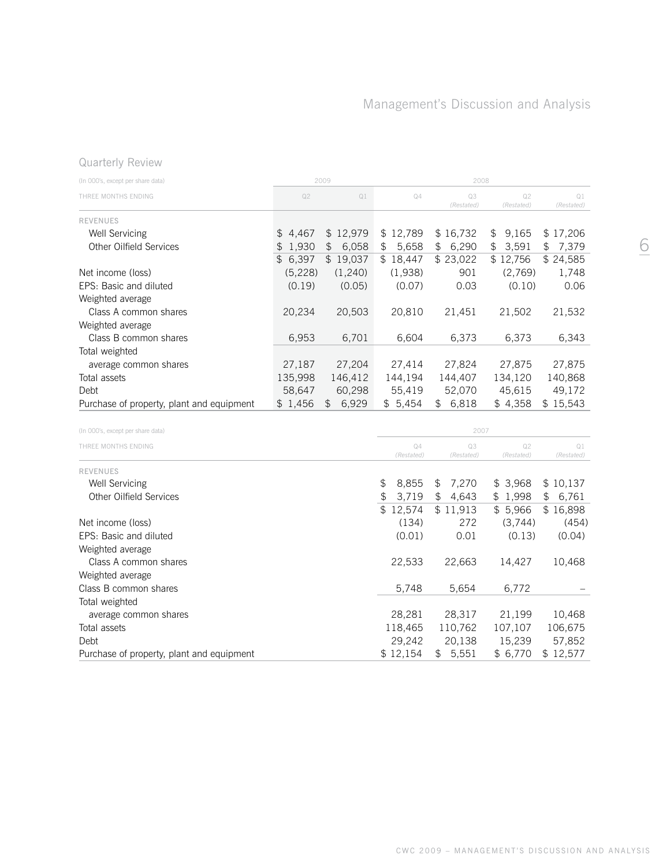# Quarterly Review

| (In 000's, except per share data)         |          | 2009                   |                        | 2008                    |                        |                        |
|-------------------------------------------|----------|------------------------|------------------------|-------------------------|------------------------|------------------------|
| THREE MONTHS ENDING                       | Q2       | Q1                     | Q4                     | Q3<br>(Restated)        | Q2<br>(Restated)       | Q1<br>(Restated)       |
| <b>REVENUES</b>                           |          |                        |                        |                         |                        |                        |
| Well Servicing                            | \$4,467  | \$12,979               | \$12,789               | \$16,732                | 9,165<br>\$            | \$17,206               |
| Other Oilfield Services                   | \$1,930  | 6,058<br>$\frac{1}{2}$ | 5,658<br>\$            | \$6,290                 | 3,591<br>$\frac{1}{2}$ | $\frac{1}{2}$<br>7,379 |
|                                           | \$6,397  | \$19,037               | \$18,447               | \$23,022                | \$12,756               | \$24,585               |
| Net income (loss)                         | (5, 228) | (1,240)                | (1,938)                | 901                     | (2,769)                | 1,748                  |
| EPS: Basic and diluted                    | (0.19)   | (0.05)                 | (0.07)                 | 0.03                    | (0.10)                 | 0.06                   |
| Weighted average                          |          |                        |                        |                         |                        |                        |
| Class A common shares                     | 20,234   | 20,503                 | 20,810                 | 21,451                  | 21,502                 | 21,532                 |
| Weighted average                          |          |                        |                        |                         |                        |                        |
| Class B common shares                     | 6,953    | 6,701                  | 6,604                  | 6,373                   | 6,373                  | 6,343                  |
| Total weighted                            |          |                        |                        |                         |                        |                        |
| average common shares                     | 27,187   | 27,204                 | 27,414                 | 27,824                  | 27,875                 | 27,875                 |
| Total assets                              | 135,998  | 146,412                | 144,194                | 144,407                 | 134,120                | 140,868                |
| Debt                                      | 58,647   | 60,298                 | 55,419                 | 52,070                  | 45,615                 | 49,172                 |
| Purchase of property, plant and equipment | \$1,456  | \$6,929                | \$5,454                | \$6,818                 | \$4,358                | \$15,543               |
| (In 000's, except per share data)         |          |                        |                        | 2007                    |                        |                        |
| THREE MONTHS ENDING                       |          |                        | Q4                     | Q3                      | Q2                     | Q1                     |
|                                           |          |                        | (Restated)             | (Restated)              | (Restated)             | (Restated)             |
| <b>REVENUES</b>                           |          |                        |                        |                         |                        |                        |
| Well Servicing                            |          |                        | 8,855<br>\$            | 7,270<br>$\updownarrow$ | \$3,968                | \$10,137               |
| Other Oilfield Services                   |          |                        | $\frac{1}{2}$<br>3,719 | $\updownarrow$<br>4,643 | \$1,998                | $\frac{1}{2}$<br>6,761 |
|                                           |          |                        | \$12,574               | \$11,913                | \$5,966                | \$16,898               |
| Net income (loss)                         |          |                        | (134)                  | 272                     | (3,744)                | (454)                  |
| EPS: Basic and diluted                    |          |                        | (0.01)                 | 0.01                    | (0.13)                 | (0.04)                 |
| Weighted average                          |          |                        |                        |                         |                        |                        |
| Class A common shares                     |          |                        | 22,533                 | 22,663                  | 14,427                 | 10,468                 |
| Weighted average                          |          |                        |                        |                         |                        |                        |
| Class B common shares                     |          |                        | 5,748                  | 5,654                   | 6,772                  |                        |
| Total weighted                            |          |                        |                        |                         |                        |                        |
| average common shares                     |          |                        | 28,281                 | 28,317                  | 21,199                 | 10,468                 |
| Total assets                              |          |                        | 118,465                | 110,762                 | 107,107                | 106,675                |
| Debt                                      |          |                        | 29,242                 | 20,138                  | 15,239                 | 57,852                 |
| Purchase of property, plant and equipment |          |                        | \$12,154               | 5,551<br>\$             | \$6,770                | \$12,577               |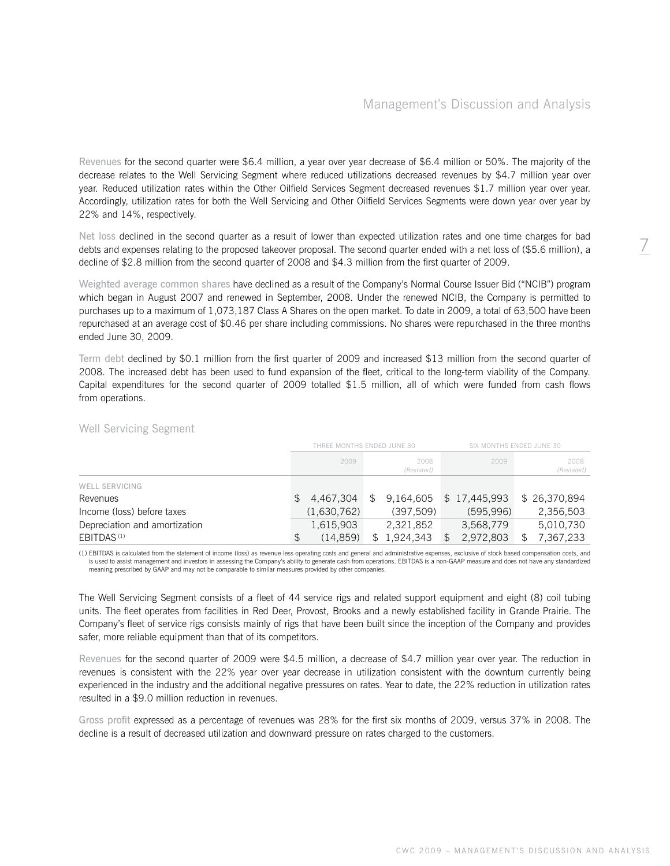Revenues for the second quarter were \$6.4 million, a year over year decrease of \$6.4 million or 50%. The majority of the decrease relates to the Well Servicing Segment where reduced utilizations decreased revenues by \$4.7 million year over year. Reduced utilization rates within the Other Oilfield Services Segment decreased revenues \$1.7 million year over year. Accordingly, utilization rates for both the Well Servicing and Other Oilfield Services Segments were down year over year by 22% and 14%, respectively.

Net loss declined in the second quarter as a result of lower than expected utilization rates and one time charges for bad debts and expenses relating to the proposed takeover proposal. The second quarter ended with a net loss of (\$5.6 million), a decline of \$2.8 million from the second quarter of 2008 and \$4.3 million from the first quarter of 2009.

Weighted average common shares have declined as a result of the Company's Normal Course Issuer Bid ("NCIB") program which began in August 2007 and renewed in September, 2008. Under the renewed NCIB, the Company is permitted to purchases up to a maximum of 1,073,187 Class A Shares on the open market. To date in 2009, a total of 63,500 have been repurchased at an average cost of \$0.46 per share including commissions. No shares were repurchased in the three months ended June 30, 2009.

Term debt declined by \$0.1 million from the first quarter of 2009 and increased \$13 million from the second quarter of 2008. The increased debt has been used to fund expansion of the fleet, critical to the long-term viability of the Company. Capital expenditures for the second quarter of 2009 totalled \$1.5 million, all of which were funded from cash flows from operations.

|                               | THREE MONTHS ENDED JUNE 30 |             |    |                    |  | SIX MONTHS ENDED JUNE 30 |                    |  |
|-------------------------------|----------------------------|-------------|----|--------------------|--|--------------------------|--------------------|--|
|                               |                            | 2009        |    | 2008<br>(Restated) |  | 2009                     | 2008<br>(Restated) |  |
| WELL SERVICING                |                            |             |    |                    |  |                          |                    |  |
| Revenues                      | S.                         | 4.467.304   | S. | 9.164.605          |  | \$17,445,993             | \$26,370,894       |  |
| Income (loss) before taxes    |                            | (1,630,762) |    | (397.509)          |  | (595.996)                | 2,356,503          |  |
| Depreciation and amortization |                            | 1,615,903   |    | 2,321,852          |  | 3,568,779                | 5,010,730          |  |
| EBITDAS <sup>(1)</sup>        |                            | (14.859)    |    | 1,924,343          |  | 2,972,803                | 7,367,233          |  |

### Well Servicing Segment

(1) EBITDAS is calculated from the statement of income (loss) as revenue less operating costs and general and administrative expenses, exclusive of stock based compensation costs, and is used to assist management and investors in assessing the Company's ability to generate cash from operations. EBITDAS is a non-GAAP measure and does not have any standardized<br>meaning prescribed by GAAP and may not be com

The Well Servicing Segment consists of a fleet of 44 service rigs and related support equipment and eight (8) coil tubing units. The fleet operates from facilities in Red Deer, Provost, Brooks and a newly established facility in Grande Prairie. The Company's fleet of service rigs consists mainly of rigs that have been built since the inception of the Company and provides safer, more reliable equipment than that of its competitors.

Revenues for the second quarter of 2009 were \$4.5 million, a decrease of \$4.7 million year over year. The reduction in revenues is consistent with the 22% year over year decrease in utilization consistent with the downturn currently being experienced in the industry and the additional negative pressures on rates. Year to date, the 22% reduction in utilization rates resulted in a \$9.0 million reduction in revenues.

Gross profit expressed as a percentage of revenues was 28% for the first six months of 2009, versus 37% in 2008. The decline is a result of decreased utilization and downward pressure on rates charged to the customers.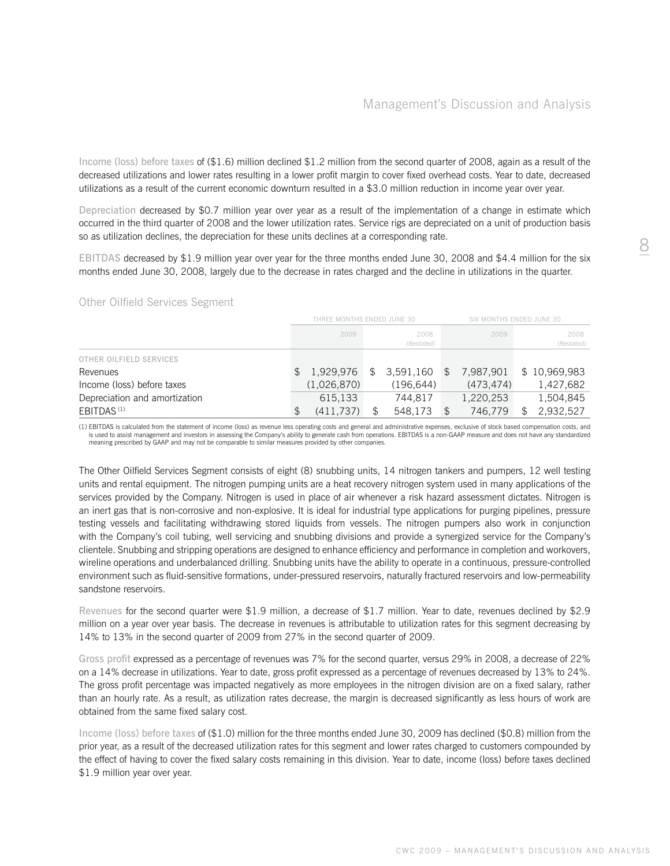Income (loss) before taxes of (\$1.6) million declined \$1.2 million from the second quarter of 2008, again as a result of the decreased utilizations and lower rates resulting in a lower profit margin to cover fixed overhead costs. Year to date, decreased utilizations as a result of the current economic downturn resulted in a \$3.0 million reduction in income year over year.

Depreciation decreased by \$0.7 million year over year as a result of the implementation of a change in estimate which occurred in the third quarter of 2008 and the lower utilization rates. Service rigs are depreciated on a unit of production basis so as utilization declines, the depreciation for these units declines at a corresponding rate.

EBITDAS decreased by \$1.9 million year over year for the three months ended June 30, 2008 and \$4.4 million for the six months ended June 30, 2008, largely due to the decrease in rates charged and the decline in utilizations in the quarter.

#### Other Oilfield Services Segment

|                               | THREE MONTHS ENDED JUNE 30 |             |     |                    |                |           | SIX MONTHS ENDED JUNE 30 |                    |  |
|-------------------------------|----------------------------|-------------|-----|--------------------|----------------|-----------|--------------------------|--------------------|--|
|                               |                            | 2009        |     | 2008<br>(Restated) |                | 2009      |                          | 2008<br>(Restated) |  |
| OTHER OILFIELD SERVICES       |                            |             |     |                    |                |           |                          |                    |  |
| Revenues                      |                            | 1,929,976   | \$. | 3.591.160          | $\mathfrak{F}$ | 7.987.901 |                          | \$10,969,983       |  |
| Income (loss) before taxes    |                            | (1,026,870) |     | (196.644)          |                | (473.474) |                          | 1,427,682          |  |
| Depreciation and amortization |                            | 615.133     |     | 744.817            |                | 1,220,253 |                          | 1,504,845          |  |
| EBITDAS <sup>(1)</sup>        |                            | (411,737)   |     | 548,173            |                | 746,779   |                          | 2,932,527          |  |

(1) EBITDAS is calculated from the statement of income (loss) as revenue less operating costs and general and administrative expenses, exclusive of stock based compensation costs, and is used to assist management and investors in assessing the Company's ability to generate cash from operations. EBITDAS is a non-GAAP measure and does not have any standardized meaning prescribed by GAAP and may not be comparable to similar measures provided by other companies.

The Other Oilfield Services Segment consists of eight (8) snubbing units, 14 nitrogen tankers and pumpers, 12 well testing units and rental equipment. The nitrogen pumping units are a heat recovery nitrogen system used in many applications of the services provided by the Company. Nitrogen is used in place of air whenever a risk hazard assessment dictates. Nitrogen is an inert gas that is non-corrosive and non-explosive. It is ideal for industrial type applications for purging pipelines, pressure testing vessels and facilitating withdrawing stored liquids from vessels. The nitrogen pumpers also work in conjunction with the Company's coil tubing, well servicing and snubbing divisions and provide a synergized service for the Company's clientele. Snubbing and stripping operations are designed to enhance efficiency and performance in completion and workovers, wireline operations and underbalanced drilling. Snubbing units have the ability to operate in a continuous, pressure-controlled environment such as fluid-sensitive formations, under-pressured reservoirs, naturally fractured reservoirs and low-permeability sandstone reservoirs.

Revenues for the second quarter were \$1.9 million, a decrease of \$1.7 million. Year to date, revenues declined by \$2.9 million on a year over year basis. The decrease in revenues is attributable to utilization rates for this segment decreasing by 14% to 13% in the second quarter of 2009 from 27% in the second quarter of 2009.

Gross profit expressed as a percentage of revenues was 7% for the second quarter, versus 29% in 2008, a decrease of 22% on a 14% decrease in utilizations. Year to date, gross profit expressed as a percentage of revenues decreased by 13% to 24%. The gross profit percentage was impacted negatively as more employees in the nitrogen division are on a fixed salary, rather than an hourly rate. As a result, as utilization rates decrease, the margin is decreased significantly as less hours of work are obtained from the same fixed salary cost.

Income (loss) before taxes of (\$1.0) million for the three months ended June 30, 2009 has declined (\$0.8) million from the prior year, as a result of the decreased utilization rates for this segment and lower rates charged to customers compounded by the effect of having to cover the fixed salary costs remaining in this division. Year to date, income (loss) before taxes declined \$1.9 million year over year.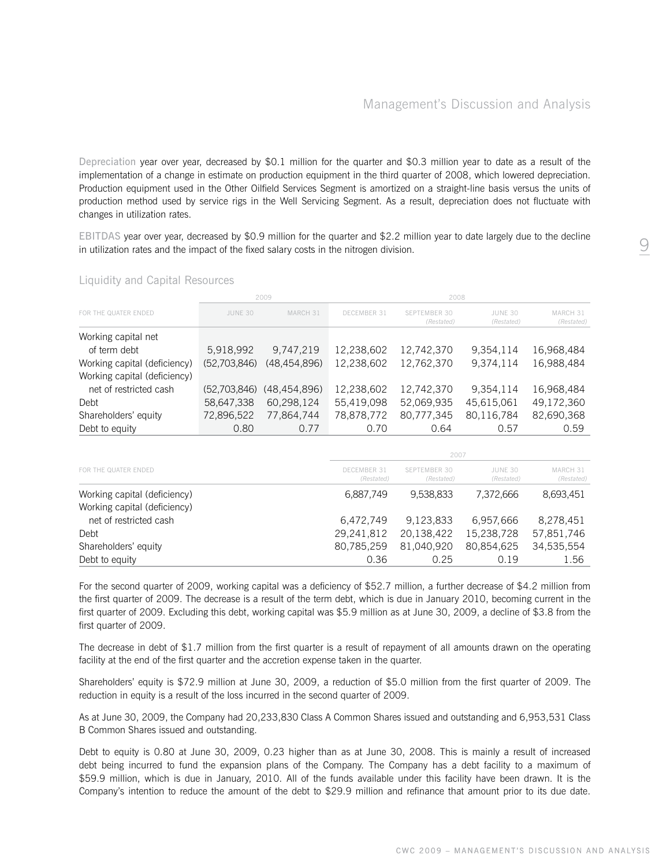Depreciation year over year, decreased by \$0.1 million for the quarter and \$0.3 million year to date as a result of the implementation of a change in estimate on production equipment in the third quarter of 2008, which lowered depreciation. Production equipment used in the Other Oilfield Services Segment is amortized on a straight-line basis versus the units of production method used by service rigs in the Well Servicing Segment. As a result, depreciation does not fluctuate with changes in utilization rates.

EBITDAS year over year, decreased by \$0.9 million for the quarter and \$2.2 million year to date largely due to the decline in utilization rates and the impact of the fixed salary costs in the nitrogen division.

|                                                              |              | 2009           |                           | 2008                              |                       |                        |
|--------------------------------------------------------------|--------------|----------------|---------------------------|-----------------------------------|-----------------------|------------------------|
| FOR THE QUATER ENDED                                         | JUNE 30      | MARCH 31       | DECEMBER 31               | <b>SEPTEMBER 30</b><br>(Restated) | JUNE 30<br>(Restated) | MARCH 31<br>(Restated) |
| Working capital net                                          |              |                |                           |                                   |                       |                        |
| of term debt                                                 | 5,918,992    | 9,747,219      | 12,238,602                | 12,742,370                        | 9,354,114             | 16,968,484             |
| Working capital (deficiency)                                 | (52,703,846) | (48, 454, 896) | 12,238,602                | 12,762,370                        | 9,374,114             | 16,988,484             |
| Working capital (deficiency)                                 |              |                |                           |                                   |                       |                        |
| net of restricted cash                                       | (52,703,846) | (48, 454, 896) | 12,238,602                | 12,742,370                        | 9,354,114             | 16,968,484             |
| Debt                                                         | 58,647,338   | 60,298,124     | 55,419,098                | 52,069,935                        | 45,615,061            | 49,172,360             |
| Shareholders' equity                                         | 72,896,522   | 77,864,744     | 78,878,772                | 80,777,345                        | 80,116,784            | 82,690,368             |
| Debt to equity                                               | 0.80         | 0.77           | 0.70                      | 0.64                              | 0.57                  | 0.59                   |
|                                                              |              |                |                           |                                   |                       |                        |
|                                                              |              |                |                           | 2007                              |                       |                        |
| FOR THE QUATER ENDED                                         |              |                | DECEMBER 31<br>(Restated) | <b>SEPTEMBER 30</b><br>(Restated) | JUNE 30<br>(Restated) | MARCH 31<br>(Restated) |
| Working capital (deficiency)<br>Working capital (deficiency) |              |                | 6,887,749                 | 9,538,833                         | 7,372,666             | 8,693,451              |
| net of restricted cash                                       |              |                | 6,472,749                 | 9,123,833                         | 6,957,666             | 8,278,451              |
| Debt                                                         |              |                | 29,241,812                | 20,138,422                        | 15,238,728            | 57,851,746             |
| Shareholders' equity                                         |              |                | 80,785,259                | 81,040,920                        | 80,854,625            | 34,535,554             |

# Liquidity and Capital Resources

For the second quarter of 2009, working capital was a deficiency of \$52.7 million, a further decrease of \$4.2 million from the first quarter of 2009. The decrease is a result of the term debt, which is due in January 2010, becoming current in the first quarter of 2009. Excluding this debt, working capital was \$5.9 million as at June 30, 2009, a decline of \$3.8 from the first quarter of 2009.

Debt to equity 1.56 0.36 0.25 0.19 1.56

The decrease in debt of \$1.7 million from the first quarter is a result of repayment of all amounts drawn on the operating facility at the end of the first quarter and the accretion expense taken in the quarter.

Shareholders' equity is \$72.9 million at June 30, 2009, a reduction of \$5.0 million from the first quarter of 2009. The reduction in equity is a result of the loss incurred in the second quarter of 2009.

As at June 30, 2009, the Company had 20,233,830 Class A Common Shares issued and outstanding and 6,953,531 Class B Common Shares issued and outstanding.

Debt to equity is 0.80 at June 30, 2009, 0.23 higher than as at June 30, 2008. This is mainly a result of increased debt being incurred to fund the expansion plans of the Company. The Company has a debt facility to a maximum of \$59.9 million, which is due in January, 2010. All of the funds available under this facility have been drawn. It is the Company's intention to reduce the amount of the debt to \$29.9 million and refinance that amount prior to its due date.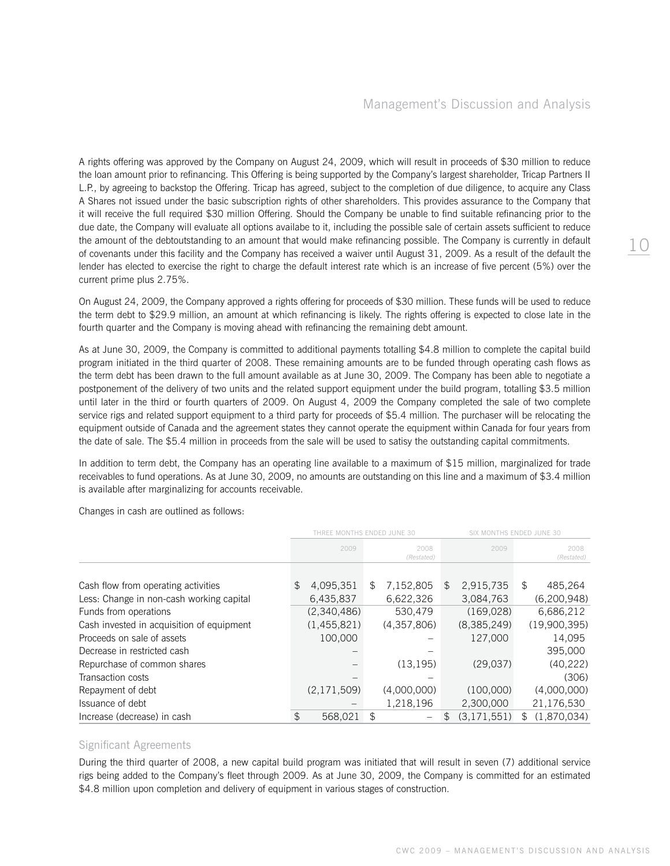A rights offering was approved by the Company on August 24, 2009, which will result in proceeds of \$30 million to reduce the loan amount prior to refinancing. This Offering is being supported by the Company's largest shareholder, Tricap Partners II L.P., by agreeing to backstop the Offering. Tricap has agreed, subject to the completion of due diligence, to acquire any Class A Shares not issued under the basic subscription rights of other shareholders. This provides assurance to the Company that it will receive the full required \$30 million Offering. Should the Company be unable to find suitable refinancing prior to the due date, the Company will evaluate all options availabe to it, including the possible sale of certain assets sufficient to reduce the amount of the debtoutstanding to an amount that would make refinancing possible. The Company is currently in default of covenants under this facility and the Company has received a waiver until August 31, 2009. As a result of the default the lender has elected to exercise the right to charge the default interest rate which is an increase of five percent (5%) over the current prime plus 2.75%.

On August 24, 2009, the Company approved a rights offering for proceeds of \$30 million. These funds will be used to reduce the term debt to \$29.9 million, an amount at which refinancing is likely. The rights offering is expected to close late in the fourth quarter and the Company is moving ahead with refinancing the remaining debt amount.

As at June 30, 2009, the Company is committed to additional payments totalling \$4.8 million to complete the capital build program initiated in the third quarter of 2008. These remaining amounts are to be funded through operating cash flows as the term debt has been drawn to the full amount available as at June 30, 2009. The Company has been able to negotiate a postponement of the delivery of two units and the related support equipment under the build program, totalling \$3.5 million until later in the third or fourth quarters of 2009. On August 4, 2009 the Company completed the sale of two complete service rigs and related support equipment to a third party for proceeds of \$5.4 million. The purchaser will be relocating the equipment outside of Canada and the agreement states they cannot operate the equipment within Canada for four years from the date of sale. The \$5.4 million in proceeds from the sale will be used to satisy the outstanding capital commitments.

In addition to term debt, the Company has an operating line available to a maximum of \$15 million, marginalized for trade receivables to fund operations. As at June 30, 2009, no amounts are outstanding on this line and a maximum of \$3.4 million is available after marginalizing for accounts receivable.

Changes in cash are outlined as follows:

|                                           |     | THRFF MONTHS FNDFD JUNF 30 |                    | SIX MONTHS ENDED JUNE 30 |    |                    |  |
|-------------------------------------------|-----|----------------------------|--------------------|--------------------------|----|--------------------|--|
|                                           |     | 2009                       | 2008<br>(Restated) | 2009                     |    | 2008<br>(Restated) |  |
| Cash flow from operating activities       | \$. | 4,095,351                  | \$<br>7,152,805    | \$<br>2,915,735          | \$ | 485,264            |  |
| Less: Change in non-cash working capital  |     | 6,435,837                  | 6,622,326          | 3,084,763                |    | (6,200,948)        |  |
| Funds from operations                     |     | (2,340,486)                | 530,479            | (169, 028)               |    | 6,686,212          |  |
| Cash invested in acquisition of equipment |     | (1,455,821)                | (4,357,806)        | (8,385,249)              |    | (19,900,395)       |  |
| Proceeds on sale of assets                |     | 100,000                    |                    | 127,000                  |    | 14.095             |  |
| Decrease in restricted cash               |     |                            |                    |                          |    | 395,000            |  |
| Repurchase of common shares               |     |                            | (13, 195)          | (29,037)                 |    | (40, 222)          |  |
| Transaction costs                         |     |                            |                    |                          |    | (306)              |  |
| Repayment of debt                         |     | (2,171,509)                | (4,000,000)        | (100,000)                |    | (4,000,000)        |  |
| Issuance of debt                          |     |                            | 1,218,196          | 2,300,000                |    | 21,176,530         |  |
| Increase (decrease) in cash               | \$  | 568.021                    | \$                 | \$<br>(3, 171, 551)      | \$ | (1.870.034)        |  |

# Significant Agreements

During the third quarter of 2008, a new capital build program was initiated that will result in seven (7) additional service rigs being added to the Company's fleet through 2009. As at June 30, 2009, the Company is committed for an estimated \$4.8 million upon completion and delivery of equipment in various stages of construction.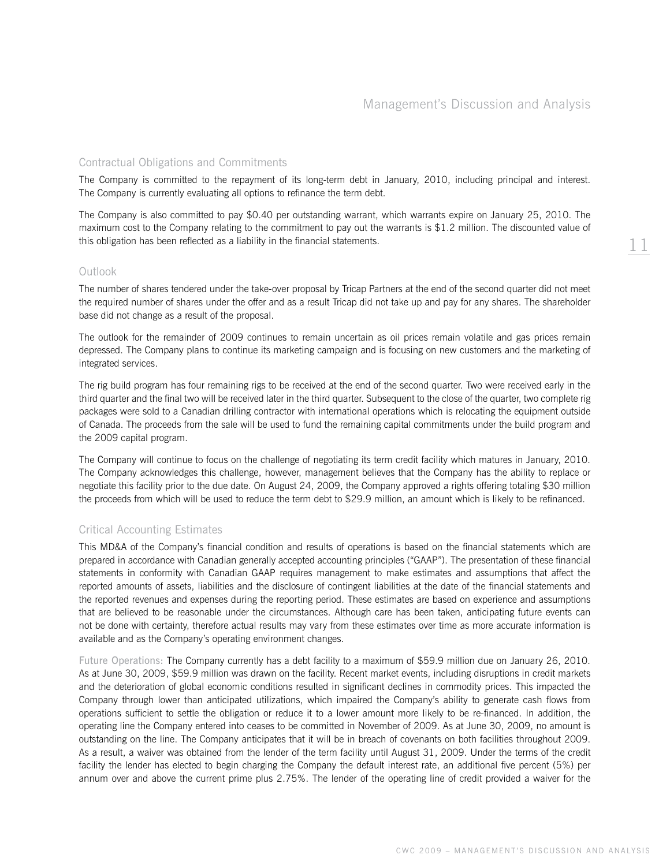11

### Contractual Obligations and Commitments

The Company is committed to the repayment of its long-term debt in January, 2010, including principal and interest. The Company is currently evaluating all options to refinance the term debt.

The Company is also committed to pay \$0.40 per outstanding warrant, which warrants expire on January 25, 2010. The maximum cost to the Company relating to the commitment to pay out the warrants is \$1.2 million. The discounted value of this obligation has been reflected as a liability in the financial statements.

#### Outlook

The number of shares tendered under the take-over proposal by Tricap Partners at the end of the second quarter did not meet the required number of shares under the offer and as a result Tricap did not take up and pay for any shares. The shareholder base did not change as a result of the proposal.

The outlook for the remainder of 2009 continues to remain uncertain as oil prices remain volatile and gas prices remain depressed. The Company plans to continue its marketing campaign and is focusing on new customers and the marketing of integrated services.

The rig build program has four remaining rigs to be received at the end of the second quarter. Two were received early in the third quarter and the final two will be received later in the third quarter. Subsequent to the close of the quarter, two complete rig packages were sold to a Canadian drilling contractor with international operations which is relocating the equipment outside of Canada. The proceeds from the sale will be used to fund the remaining capital commitments under the build program and the 2009 capital program.

The Company will continue to focus on the challenge of negotiating its term credit facility which matures in January, 2010. The Company acknowledges this challenge, however, management believes that the Company has the ability to replace or negotiate this facility prior to the due date. On August 24, 2009, the Company approved a rights offering totaling \$30 million the proceeds from which will be used to reduce the term debt to \$29.9 million, an amount which is likely to be refinanced.

#### Critical Accounting Estimates

This MD&A of the Company's financial condition and results of operations is based on the financial statements which are prepared in accordance with Canadian generally accepted accounting principles ("GAAP"). The presentation of these financial statements in conformity with Canadian GAAP requires management to make estimates and assumptions that affect the reported amounts of assets, liabilities and the disclosure of contingent liabilities at the date of the financial statements and the reported revenues and expenses during the reporting period. These estimates are based on experience and assumptions that are believed to be reasonable under the circumstances. Although care has been taken, anticipating future events can not be done with certainty, therefore actual results may vary from these estimates over time as more accurate information is available and as the Company's operating environment changes.

Future Operations: The Company currently has a debt facility to a maximum of \$59.9 million due on January 26, 2010. As at June 30, 2009, \$59.9 million was drawn on the facility. Recent market events, including disruptions in credit markets and the deterioration of global economic conditions resulted in significant declines in commodity prices. This impacted the Company through lower than anticipated utilizations, which impaired the Company's ability to generate cash flows from operations sufficient to settle the obligation or reduce it to a lower amount more likely to be re-financed. In addition, the operating line the Company entered into ceases to be committed in November of 2009. As at June 30, 2009, no amount is outstanding on the line. The Company anticipates that it will be in breach of covenants on both facilities throughout 2009. As a result, a waiver was obtained from the lender of the term facility until August 31, 2009. Under the terms of the credit facility the lender has elected to begin charging the Company the default interest rate, an additional five percent (5%) per annum over and above the current prime plus 2.75%. The lender of the operating line of credit provided a waiver for the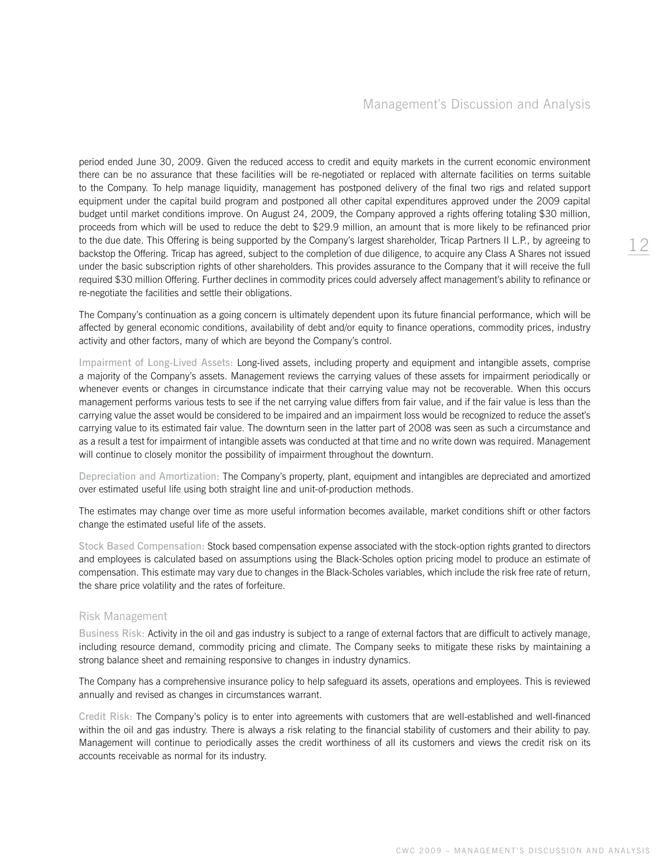period ended June 30, 2009. Given the reduced access to credit and equity markets in the current economic environment there can be no assurance that these facilities will be re-negotiated or replaced with alternate facilities on terms suitable to the Company. To help manage liquidity, management has postponed delivery of the final two rigs and related support equipment under the capital build program and postponed all other capital expenditures approved under the 2009 capital budget until market conditions improve. On August 24, 2009, the Company approved a rights offering totaling \$30 million, proceeds from which will be used to reduce the debt to \$29.9 million, an amount that is more likely to be refinanced prior to the due date. This Offering is being supported by the Company's largest shareholder, Tricap Partners II L.P., by agreeing to backstop the Offering. Tricap has agreed, subject to the completion of due diligence, to acquire any Class A Shares not issued under the basic subscription rights of other shareholders. This provides assurance to the Company that it will receive the full required \$30 million Offering. Further declines in commodity prices could adversely affect management's ability to refinance or re-negotiate the facilities and settle their obligations.

The Company's continuation as a going concern is ultimately dependent upon its future financial performance, which will be affected by general economic conditions, availability of debt and/or equity to finance operations, commodity prices, industry activity and other factors, many of which are beyond the Company's control.

Impairment of Long-Lived Assets: Long-lived assets, including property and equipment and intangible assets, comprise a majority of the Company's assets. Management reviews the carrying values of these assets for impairment periodically or whenever events or changes in circumstance indicate that their carrying value may not be recoverable. When this occurs management performs various tests to see if the net carrying value differs from fair value, and if the fair value is less than the carrying value the asset would be considered to be impaired and an impairment loss would be recognized to reduce the asset's carrying value to its estimated fair value. The downturn seen in the latter part of 2008 was seen as such a circumstance and as a result a test for impairment of intangible assets was conducted at that time and no write down was required. Management will continue to closely monitor the possibility of impairment throughout the downturn.

Depreciation and Amortization: The Company's property, plant, equipment and intangibles are depreciated and amortized over estimated useful life using both straight line and unit-of-production methods.

The estimates may change over time as more useful information becomes available, market conditions shift or other factors change the estimated useful life of the assets.

Stock Based Compensation: Stock based compensation expense associated with the stock-option rights granted to directors and employees is calculated based on assumptions using the Black-Scholes option pricing model to produce an estimate of compensation. This estimate may vary due to changes in the Black-Scholes variables, which include the risk free rate of return, the share price volatility and the rates of forfeiture.

#### Risk Management

Business Risk: Activity in the oil and gas industry is subject to a range of external factors that are difficult to actively manage, including resource demand, commodity pricing and climate. The Company seeks to mitigate these risks by maintaining a strong balance sheet and remaining responsive to changes in industry dynamics.

The Company has a comprehensive insurance policy to help safeguard its assets, operations and employees. This is reviewed annually and revised as changes in circumstances warrant.

Credit Risk: The Company's policy is to enter into agreements with customers that are well-established and well-financed within the oil and gas industry. There is always a risk relating to the financial stability of customers and their ability to pay. Management will continue to periodically asses the credit worthiness of all its customers and views the credit risk on its accounts receivable as normal for its industry.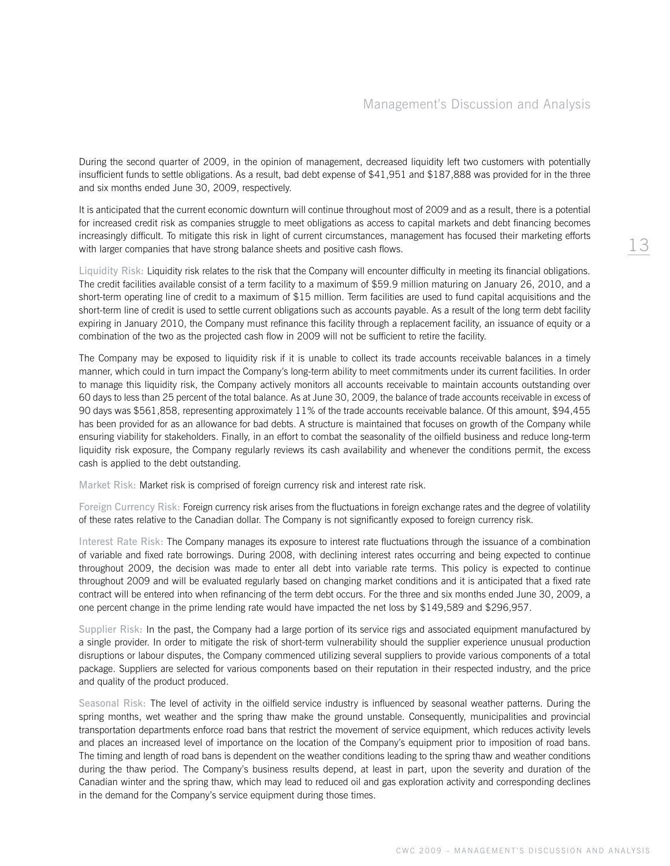During the second quarter of 2009, in the opinion of management, decreased liquidity left two customers with potentially insufficient funds to settle obligations. As a result, bad debt expense of \$41,951 and \$187,888 was provided for in the three and six months ended June 30, 2009, respectively.

It is anticipated that the current economic downturn will continue throughout most of 2009 and as a result, there is a potential for increased credit risk as companies struggle to meet obligations as access to capital markets and debt financing becomes increasingly difficult. To mitigate this risk in light of current circumstances, management has focused their marketing efforts with larger companies that have strong balance sheets and positive cash flows.

Liquidity Risk: Liquidity risk relates to the risk that the Company will encounter difficulty in meeting its financial obligations. The credit facilities available consist of a term facility to a maximum of \$59.9 million maturing on January 26, 2010, and a short-term operating line of credit to a maximum of \$15 million. Term facilities are used to fund capital acquisitions and the short-term line of credit is used to settle current obligations such as accounts payable. As a result of the long term debt facility expiring in January 2010, the Company must refinance this facility through a replacement facility, an issuance of equity or a combination of the two as the projected cash flow in 2009 will not be sufficient to retire the facility.

The Company may be exposed to liquidity risk if it is unable to collect its trade accounts receivable balances in a timely manner, which could in turn impact the Company's long-term ability to meet commitments under its current facilities. In order to manage this liquidity risk, the Company actively monitors all accounts receivable to maintain accounts outstanding over 60 days to less than 25 percent of the total balance. As at June 30, 2009, the balance of trade accounts receivable in excess of 90 days was \$561,858, representing approximately 11% of the trade accounts receivable balance. Of this amount, \$94,455 has been provided for as an allowance for bad debts. A structure is maintained that focuses on growth of the Company while ensuring viability for stakeholders. Finally, in an effort to combat the seasonality of the oilfield business and reduce long-term liquidity risk exposure, the Company regularly reviews its cash availability and whenever the conditions permit, the excess cash is applied to the debt outstanding.

Market Risk: Market risk is comprised of foreign currency risk and interest rate risk.

Foreign Currency Risk: Foreign currency risk arises from the fluctuations in foreign exchange rates and the degree of volatility of these rates relative to the Canadian dollar. The Company is not significantly exposed to foreign currency risk.

Interest Rate Risk: The Company manages its exposure to interest rate fluctuations through the issuance of a combination of variable and fixed rate borrowings. During 2008, with declining interest rates occurring and being expected to continue throughout 2009, the decision was made to enter all debt into variable rate terms. This policy is expected to continue throughout 2009 and will be evaluated regularly based on changing market conditions and it is anticipated that a fixed rate contract will be entered into when refinancing of the term debt occurs. For the three and six months ended June 30, 2009, a one percent change in the prime lending rate would have impacted the net loss by \$149,589 and \$296,957.

Supplier Risk: In the past, the Company had a large portion of its service rigs and associated equipment manufactured by a single provider. In order to mitigate the risk of short-term vulnerability should the supplier experience unusual production disruptions or labour disputes, the Company commenced utilizing several suppliers to provide various components of a total package. Suppliers are selected for various components based on their reputation in their respected industry, and the price and quality of the product produced.

Seasonal Risk: The level of activity in the oilfield service industry is influenced by seasonal weather patterns. During the spring months, wet weather and the spring thaw make the ground unstable. Consequently, municipalities and provincial transportation departments enforce road bans that restrict the movement of service equipment, which reduces activity levels and places an increased level of importance on the location of the Company's equipment prior to imposition of road bans. The timing and length of road bans is dependent on the weather conditions leading to the spring thaw and weather conditions during the thaw period. The Company's business results depend, at least in part, upon the severity and duration of the Canadian winter and the spring thaw, which may lead to reduced oil and gas exploration activity and corresponding declines in the demand for the Company's service equipment during those times.